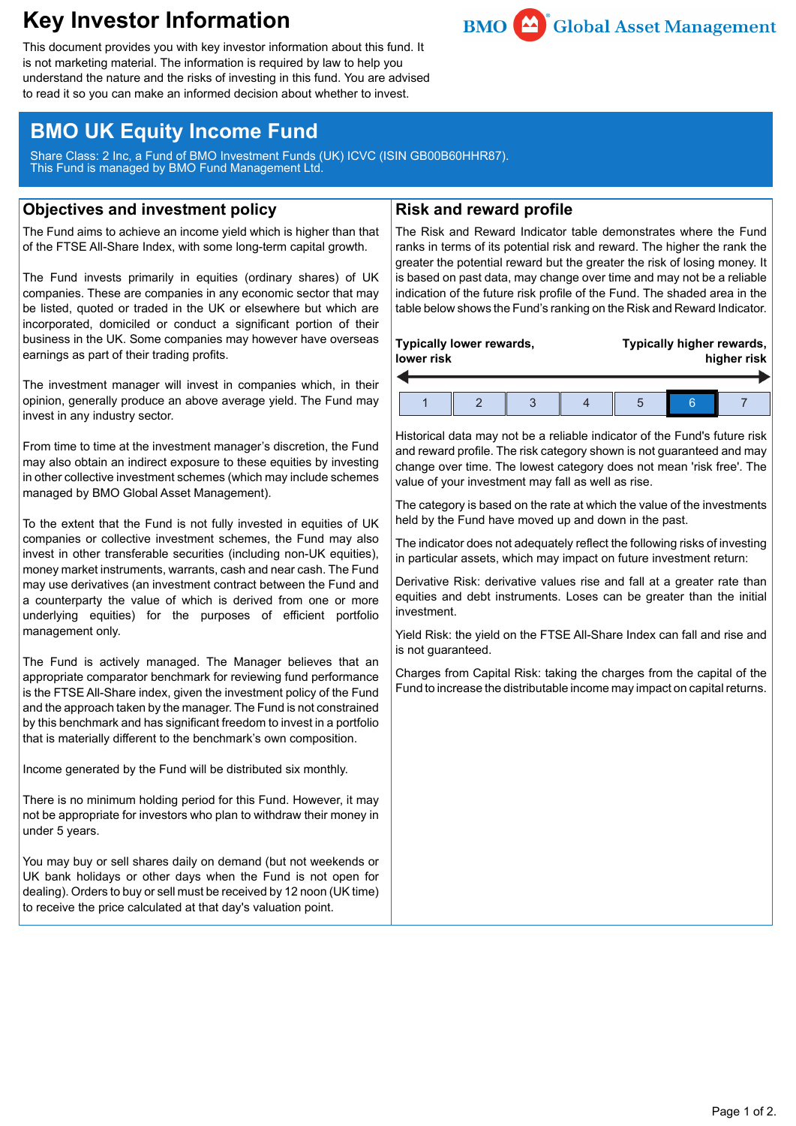# **Key Investor Information**



This document provides you with key investor information about this fund. It is not marketing material. The information is required by law to help you understand the nature and the risks of investing in this fund. You are advised to read it so you can make an informed decision about whether to invest.

## **BMO UK Equity Income Fund**

Share Class: 2 Inc, a Fund of BMO Investment Funds (UK) ICVC (ISIN GB00B60HHR87). This Fund is managed by BMO Fund Management Ltd.

## **Objectives and investment policy**

The Fund aims to achieve an income yield which is higher than that of the FTSE All-Share Index, with some long-term capital growth.

The Fund invests primarily in equities (ordinary shares) of UK companies. These are companies in any economic sector that may be listed, quoted or traded in the UK or elsewhere but which are incorporated, domiciled or conduct a significant portion of their business in the UK. Some companies may however have overseas earnings as part of their trading profits.

The investment manager will invest in companies which, in their opinion, generally produce an above average yield. The Fund may invest in any industry sector.

From time to time at the investment manager's discretion, the Fund may also obtain an indirect exposure to these equities by investing in other collective investment schemes (which may include schemes managed by BMO Global Asset Management).

To the extent that the Fund is not fully invested in equities of UK companies or collective investment schemes, the Fund may also invest in other transferable securities (including non-UK equities), money market instruments, warrants, cash and near cash. The Fund may use derivatives (an investment contract between the Fund and a counterparty the value of which is derived from one or more underlying equities) for the purposes of efficient portfolio management only.

The Fund is actively managed. The Manager believes that an appropriate comparator benchmark for reviewing fund performance is the FTSE All-Share index, given the investment policy of the Fund and the approach taken by the manager. The Fund is not constrained by this benchmark and has significant freedom to invest in a portfolio that is materially different to the benchmark's own composition.

Income generated by the Fund will be distributed six monthly.

There is no minimum holding period for this Fund. However, it may not be appropriate for investors who plan to withdraw their money in under 5 years.

You may buy or sell shares daily on demand (but not weekends or UK bank holidays or other days when the Fund is not open for dealing). Orders to buy or sell must be received by 12 noon (UK time) to receive the price calculated at that day's valuation point.

## **Risk and reward profile**

The Risk and Reward Indicator table demonstrates where the Fund ranks in terms of its potential risk and reward. The higher the rank the greater the potential reward but the greater the risk of losing money. It is based on past data, may change over time and may not be a reliable indication of the future risk profile of the Fund. The shaded area in the table below shows the Fund's ranking on the Risk and Reward Indicator.

| Typically lower rewards,<br>lower risk |  | Typically higher rewards,<br>higher risk |  |  |
|----------------------------------------|--|------------------------------------------|--|--|
|                                        |  |                                          |  |  |

Historical data may not be a reliable indicator of the Fund's future risk and reward profile. The risk category shown is not guaranteed and may change over time. The lowest category does not mean 'risk free'. The value of your investment may fall as well as rise.

The category is based on the rate at which the value of the investments held by the Fund have moved up and down in the past.

The indicator does not adequately reflect the following risks of investing in particular assets, which may impact on future investment return:

Derivative Risk: derivative values rise and fall at a greater rate than equities and debt instruments. Loses can be greater than the initial investment.

Yield Risk: the yield on the FTSE All-Share Index can fall and rise and is not guaranteed.

Charges from Capital Risk: taking the charges from the capital of the Fund to increase the distributable income may impact on capital returns.